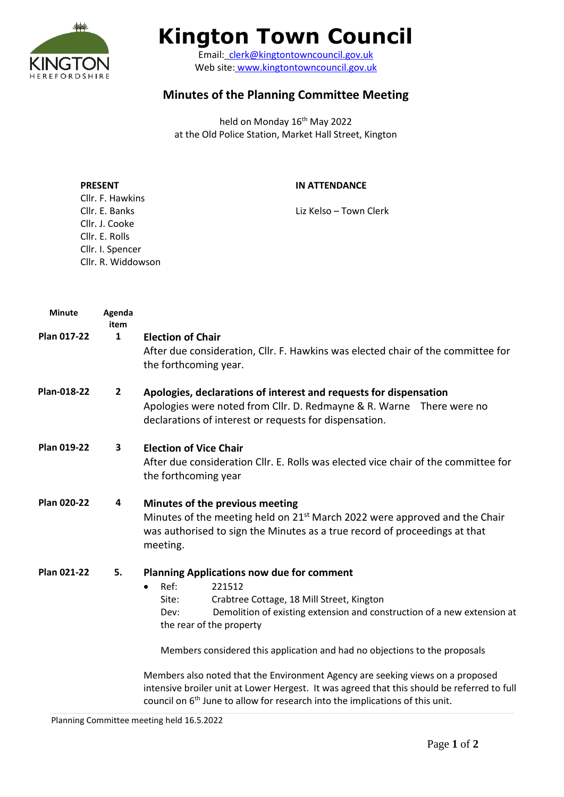

# **Kington Town Council**

Email: [clerk@kingtontowncouncil.gov.uk](mailto:clerk@kingtontowncouncil.gov.uk) Web site: [www.kingtontowncouncil.gov.uk](http://www.kingtontowncouncil.gov.uk/)

## **Minutes of the Planning Committee Meeting**

held on Monday 16<sup>th</sup> May 2022 at the Old Police Station, Market Hall Street, Kington

| <b>PRESENT</b>     | <b>IN ATTENDANCE</b>   |
|--------------------|------------------------|
| Cllr. F. Hawkins   |                        |
| Cllr. E. Banks     | Liz Kelso – Town Clerk |
| Cllr. J. Cooke     |                        |
| Cllr. E. Rolls     |                        |
| Cllr. I. Spencer   |                        |
| Cllr. R. Widdowson |                        |

| <b>Minute</b> | Agenda<br>item |                                                                                                                                                                                                                                                                                                                                                                                                                                                                                                                                                                                                                  |  |
|---------------|----------------|------------------------------------------------------------------------------------------------------------------------------------------------------------------------------------------------------------------------------------------------------------------------------------------------------------------------------------------------------------------------------------------------------------------------------------------------------------------------------------------------------------------------------------------------------------------------------------------------------------------|--|
| Plan 017-22   | $\mathbf{1}$   | <b>Election of Chair</b><br>After due consideration, Cllr. F. Hawkins was elected chair of the committee for<br>the forthcoming year.                                                                                                                                                                                                                                                                                                                                                                                                                                                                            |  |
| Plan-018-22   | $\mathbf{2}$   | Apologies, declarations of interest and requests for dispensation<br>Apologies were noted from Cllr. D. Redmayne & R. Warne There were no<br>declarations of interest or requests for dispensation.                                                                                                                                                                                                                                                                                                                                                                                                              |  |
| Plan 019-22   | 3              | <b>Election of Vice Chair</b><br>After due consideration Cllr. E. Rolls was elected vice chair of the committee for<br>the forthcoming year                                                                                                                                                                                                                                                                                                                                                                                                                                                                      |  |
| Plan 020-22   | 4              | Minutes of the previous meeting<br>Minutes of the meeting held on 21 <sup>st</sup> March 2022 were approved and the Chair<br>was authorised to sign the Minutes as a true record of proceedings at that<br>meeting.                                                                                                                                                                                                                                                                                                                                                                                              |  |
| Plan 021-22   | 5.             | <b>Planning Applications now due for comment</b><br>Ref:<br>221512<br>$\bullet$<br>Crabtree Cottage, 18 Mill Street, Kington<br>Site:<br>Demolition of existing extension and construction of a new extension at<br>Dev:<br>the rear of the property<br>Members considered this application and had no objections to the proposals<br>Members also noted that the Environment Agency are seeking views on a proposed<br>intensive broiler unit at Lower Hergest. It was agreed that this should be referred to full<br>council on 6 <sup>th</sup> June to allow for research into the implications of this unit. |  |

Planning Committee meeting held 16.5.2022